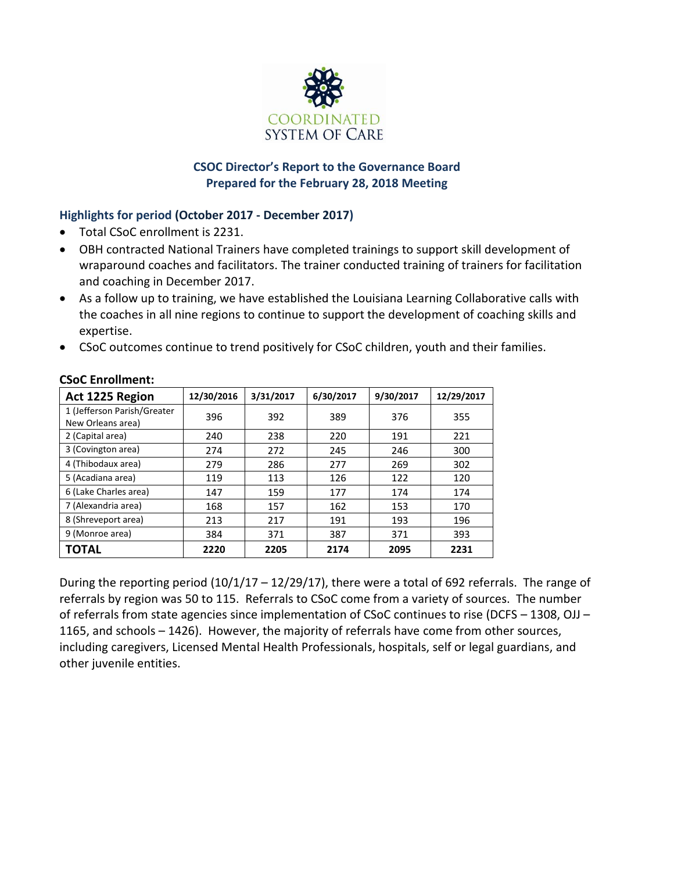

# **CSOC Director's Report to the Governance Board Prepared for the February 28, 2018 Meeting**

# **Highlights for period (October 2017 - December 2017)**

- Total CSoC enrollment is 2231.
- OBH contracted National Trainers have completed trainings to support skill development of wraparound coaches and facilitators. The trainer conducted training of trainers for facilitation and coaching in December 2017.
- As a follow up to training, we have established the Louisiana Learning Collaborative calls with the coaches in all nine regions to continue to support the development of coaching skills and expertise.
- CSoC outcomes continue to trend positively for CSoC children, youth and their families.

| Act 1225 Region             | 12/30/2016 | 3/31/2017 | 6/30/2017 | 9/30/2017 | 12/29/2017 |
|-----------------------------|------------|-----------|-----------|-----------|------------|
| 1 (Jefferson Parish/Greater | 396        | 392       | 389       | 376       | 355        |
| New Orleans area)           |            |           |           |           |            |
| 2 (Capital area)            | 240        | 238       | 220       | 191       | 221        |
| 3 (Covington area)          | 274        | 272       | 245       | 246       | 300        |
| 4 (Thibodaux area)          | 279        | 286       | 277       | 269       | 302        |
| 5 (Acadiana area)           | 119        | 113       | 126       | 122       | 120        |
| 6 (Lake Charles area)       | 147        | 159       | 177       | 174       | 174        |
| 7 (Alexandria area)         | 168        | 157       | 162       | 153       | 170        |
| 8 (Shreveport area)         | 213        | 217       | 191       | 193       | 196        |
| 9 (Monroe area)             | 384        | 371       | 387       | 371       | 393        |
| <b>TOTAL</b>                | 2220       | 2205      | 2174      | 2095      | 2231       |

# **CSoC Enrollment:**

During the reporting period  $(10/1/17 - 12/29/17)$ , there were a total of 692 referrals. The range of referrals by region was 50 to 115. Referrals to CSoC come from a variety of sources. The number of referrals from state agencies since implementation of CSoC continues to rise (DCFS – 1308, OJJ – 1165, and schools – 1426). However, the majority of referrals have come from other sources, including caregivers, Licensed Mental Health Professionals, hospitals, self or legal guardians, and other juvenile entities.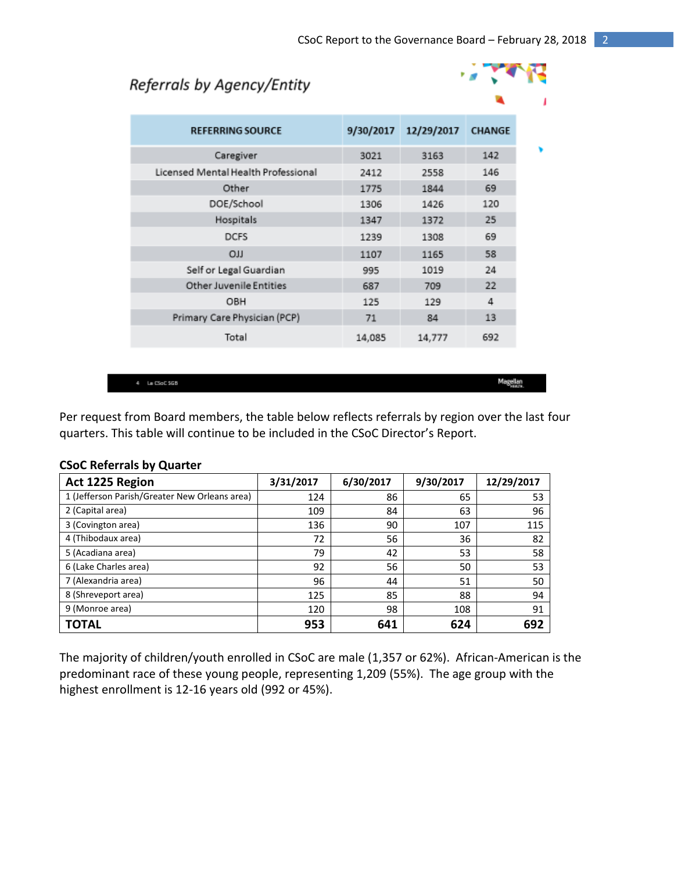# Referrals by Agency/Entity



| <b>REFERRING SOURCE</b>             | 9/30/2017 | 12/29/2017 | <b>CHANGE</b> |
|-------------------------------------|-----------|------------|---------------|
| Caregiver                           | 3021      | 3163       | 142           |
| Licensed Mental Health Professional | 2412      | 2558       | 146           |
| Other                               | 1775      | 1844       | 69            |
| DOE/School                          | 1306      | 1426       | 120           |
| Hospitals                           | 1347      | 1372       | 25            |
| <b>DCFS</b>                         | 1239      | 1308       | 69            |
| LLO                                 | 1107      | 1165       | 58            |
| Self or Legal Guardian              | 995       | 1019       | 24            |
| <b>Other Juvenile Entities</b>      | 687       | 709        | 22            |
| OBH                                 | 125       | 129        | 4             |
| Primary Care Physician (PCP)        | 71        | 84         | 13            |
| Total                               | 14,085    | 14,777     | 692           |

 $4 - \text{La CSoC 565}$ 

Magellan

Per request from Board members, the table below reflects referrals by region over the last four quarters. This table will continue to be included in the CSoC Director's Report.

| Act 1225 Region                               | 3/31/2017 | 6/30/2017 | 9/30/2017 | 12/29/2017 |
|-----------------------------------------------|-----------|-----------|-----------|------------|
| 1 (Jefferson Parish/Greater New Orleans area) | 124       | 86        | 65        | 53         |
| 2 (Capital area)                              | 109       | 84        | 63        | 96         |
| 3 (Covington area)                            | 136       | 90        | 107       | 115        |
| 4 (Thibodaux area)                            | 72        | 56        | 36        | 82         |
| 5 (Acadiana area)                             | 79        | 42        | 53        | 58         |
| 6 (Lake Charles area)                         | 92        | 56        | 50        | 53         |
| 7 (Alexandria area)                           | 96        | 44        | 51        | 50         |
| 8 (Shreveport area)                           | 125       | 85        | 88        | 94         |
| 9 (Monroe area)                               | 120       | 98        | 108       | 91         |
| <b>TOTAL</b>                                  | 953       | 641       | 624       | 692        |

#### **CSoC Referrals by Quarter**

The majority of children/youth enrolled in CSoC are male (1,357 or 62%). African-American is the predominant race of these young people, representing 1,209 (55%). The age group with the highest enrollment is 12-16 years old (992 or 45%).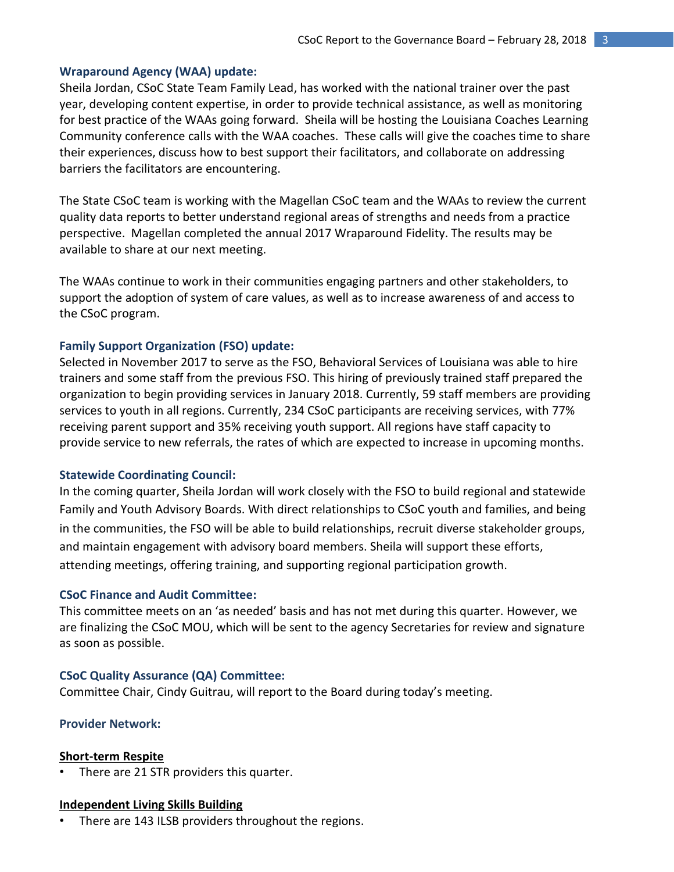#### **Wraparound Agency (WAA) update:**

Sheila Jordan, CSoC State Team Family Lead, has worked with the national trainer over the past year, developing content expertise, in order to provide technical assistance, as well as monitoring for best practice of the WAAs going forward. Sheila will be hosting the Louisiana Coaches Learning Community conference calls with the WAA coaches. These calls will give the coaches time to share their experiences, discuss how to best support their facilitators, and collaborate on addressing barriers the facilitators are encountering.

The State CSoC team is working with the Magellan CSoC team and the WAAs to review the current quality data reports to better understand regional areas of strengths and needs from a practice perspective. Magellan completed the annual 2017 Wraparound Fidelity. The results may be available to share at our next meeting.

The WAAs continue to work in their communities engaging partners and other stakeholders, to support the adoption of system of care values, as well as to increase awareness of and access to the CSoC program.

#### **Family Support Organization (FSO) update:**

Selected in November 2017 to serve as the FSO, Behavioral Services of Louisiana was able to hire trainers and some staff from the previous FSO. This hiring of previously trained staff prepared the organization to begin providing services in January 2018. Currently, 59 staff members are providing services to youth in all regions. Currently, 234 CSoC participants are receiving services, with 77% receiving parent support and 35% receiving youth support. All regions have staff capacity to provide service to new referrals, the rates of which are expected to increase in upcoming months.

#### **Statewide Coordinating Council:**

In the coming quarter, Sheila Jordan will work closely with the FSO to build regional and statewide Family and Youth Advisory Boards. With direct relationships to CSoC youth and families, and being in the communities, the FSO will be able to build relationships, recruit diverse stakeholder groups, and maintain engagement with advisory board members. Sheila will support these efforts, attending meetings, offering training, and supporting regional participation growth.

#### **CSoC Finance and Audit Committee:**

This committee meets on an 'as needed' basis and has not met during this quarter. However, we are finalizing the CSoC MOU, which will be sent to the agency Secretaries for review and signature as soon as possible.

#### **CSoC Quality Assurance (QA) Committee:**

Committee Chair, Cindy Guitrau, will report to the Board during today's meeting.

#### **Provider Network:**

#### **Short-term Respite**

There are 21 STR providers this quarter.

#### **Independent Living Skills Building**

There are 143 ILSB providers throughout the regions.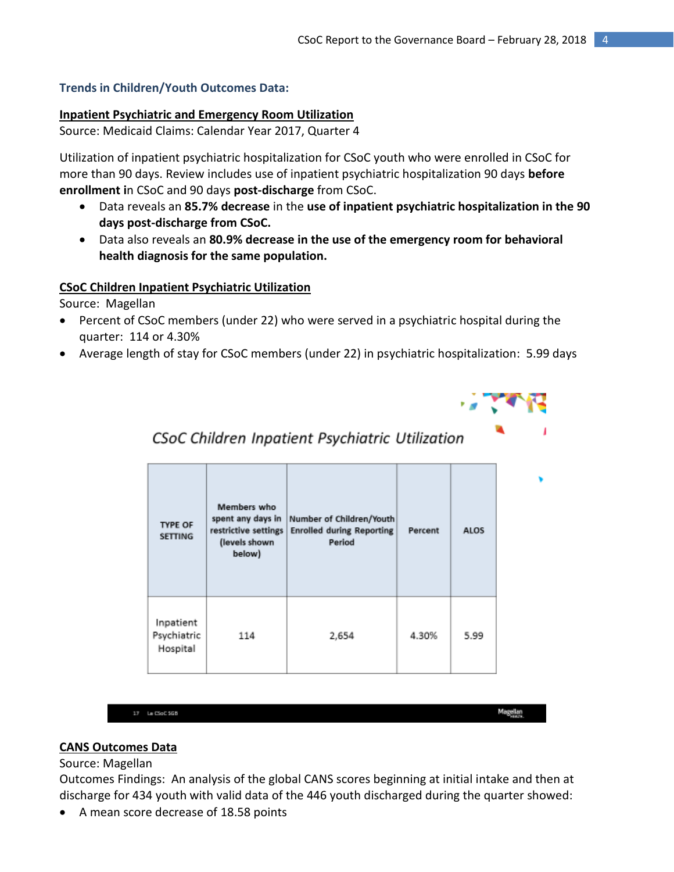## **Trends in Children/Youth Outcomes Data:**

#### **Inpatient Psychiatric and Emergency Room Utilization**

Source: Medicaid Claims: Calendar Year 2017, Quarter 4

Utilization of inpatient psychiatric hospitalization for CSoC youth who were enrolled in CSoC for more than 90 days. Review includes use of inpatient psychiatric hospitalization 90 days **before enrollment i**n CSoC and 90 days **post-discharge** from CSoC.

- Data reveals an **85.7% decrease** in the **use of inpatient psychiatric hospitalization in the 90 days post-discharge from CSoC.**
- Data also reveals an **80.9% decrease in the use of the emergency room for behavioral health diagnosis for the same population.**

#### **CSoC Children Inpatient Psychiatric Utilization**

Source: Magellan

- Percent of CSoC members (under 22) who were served in a psychiatric hospital during the quarter: 114 or 4.30%
- Average length of stay for CSoC members (under 22) in psychiatric hospitalization: 5.99 days



Magellan

CSoC Children Inpatient Psychiatric Utilization

| <b>TYPE OF</b><br><b>SETTING</b>     | Members who<br>spent any days in<br>restrictive settings<br>(levels shown<br>below) | Number of Children/Youth<br><b>Enrolled during Reporting</b><br>Period | Percent | ALOS |
|--------------------------------------|-------------------------------------------------------------------------------------|------------------------------------------------------------------------|---------|------|
| Inpatient<br>Psychiatric<br>Hospital | 114                                                                                 | 2,654                                                                  | 4.30%   | 5.99 |

| 17 La CSoC 5GB |  |  |  |
|----------------|--|--|--|
|                |  |  |  |

## **CANS Outcomes Data**

## Source: Magellan

Outcomes Findings: An analysis of the global CANS scores beginning at initial intake and then at discharge for 434 youth with valid data of the 446 youth discharged during the quarter showed:

A mean score decrease of 18.58 points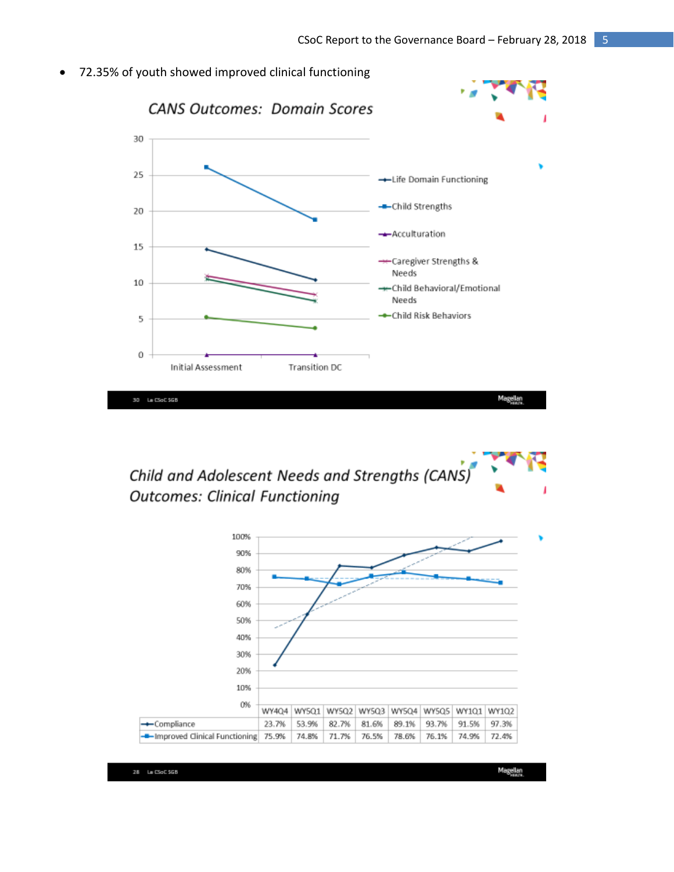72.35% of youth showed improved clinical functioning



Child and Adolescent Needs and Strengths (CANS) **Outcomes: Clinical Functioning** 

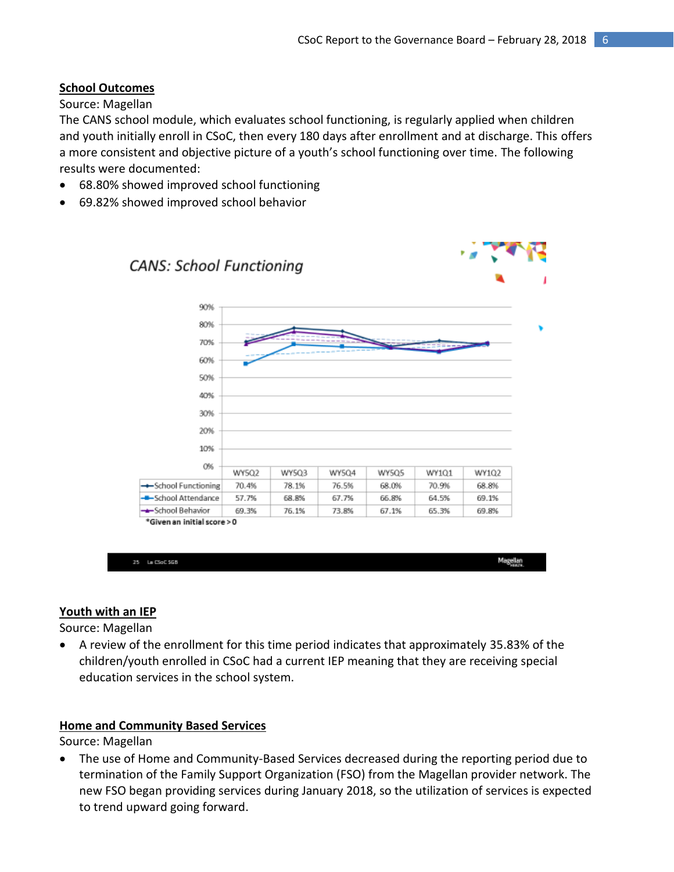# **School Outcomes**

Source: Magellan

The CANS school module, which evaluates school functioning, is regularly applied when children and youth initially enroll in CSoC, then every 180 days after enrollment and at discharge. This offers a more consistent and objective picture of a youth's school functioning over time. The following results were documented:

- 68.80% showed improved school functioning
- 69.82% showed improved school behavior



| <b>THE REAL PROPERTY</b> |
|--------------------------|
|--------------------------|

# **Youth with an IEP**

Source: Magellan

 A review of the enrollment for this time period indicates that approximately 35.83% of the children/youth enrolled in CSoC had a current IEP meaning that they are receiving special education services in the school system.

# **Home and Community Based Services**

Source: Magellan

 The use of Home and Community-Based Services decreased during the reporting period due to termination of the Family Support Organization (FSO) from the Magellan provider network. The new FSO began providing services during January 2018, so the utilization of services is expected to trend upward going forward.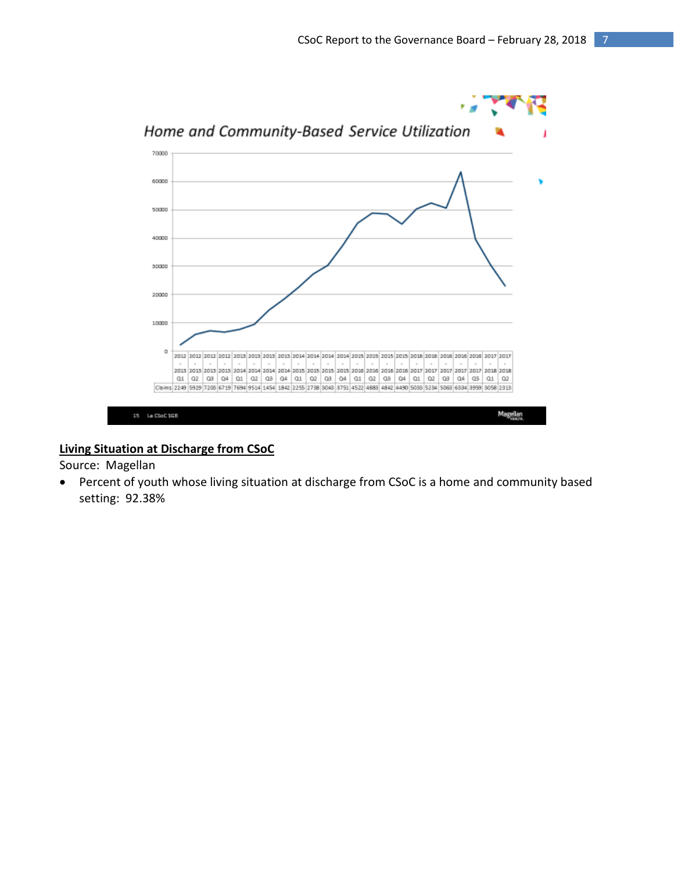

## **Living Situation at Discharge from CSoC**

Source: Magellan

 Percent of youth whose living situation at discharge from CSoC is a home and community based setting: 92.38%